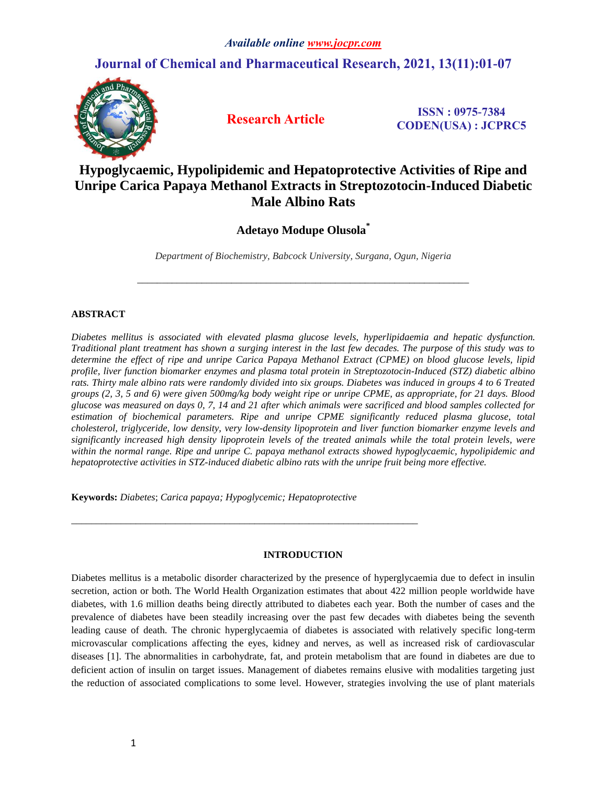## **Journal of Chemical and Pharmaceutical Research, 2021, 13(11):01-07**



 **Research Article ISSN : 0975-7384 CODEN(USA) : JCPRC5**

# **Hypoglycaemic, Hypolipidemic and Hepatoprotective Activities of Ripe and Unripe Carica Papaya Methanol Extracts in Streptozotocin-Induced Diabetic Male Albino Rats**

## **Adetayo Modupe Olusola\***

*Department of Biochemistry, Babcock University, Surgana, Ogun, Nigeria*

*\_\_\_\_\_\_\_\_\_\_\_\_\_\_\_\_\_\_\_\_\_\_\_\_\_\_\_\_\_\_\_\_\_\_\_\_\_\_\_\_\_\_\_\_\_\_\_\_\_\_\_\_\_\_\_\_\_\_\_\_\_\_\_\_\_\_\_*

## **ABSTRACT**

*Diabetes mellitus is associated with elevated plasma glucose levels, hyperlipidaemia and hepatic dysfunction. Traditional plant treatment has shown a surging interest in the last few decades. The purpose of this study was to determine the effect of ripe and unripe Carica Papaya Methanol Extract (CPME) on blood glucose levels, lipid profile, liver function biomarker enzymes and plasma total protein in Streptozotocin-Induced (STZ) diabetic albino*  rats. Thirty male albino rats were randomly divided into six groups. Diabetes was induced in groups 4 to 6 Treated *groups (2, 3, 5 and 6) were given 500mg/kg body weight ripe or unripe CPME, as appropriate, for 21 days. Blood glucose was measured on days 0, 7, 14 and 21 after which animals were sacrificed and blood samples collected for estimation of biochemical parameters. Ripe and unripe CPME significantly reduced plasma glucose, total cholesterol, triglyceride, low density, very low-density lipoprotein and liver function biomarker enzyme levels and significantly increased high density lipoprotein levels of the treated animals while the total protein levels, were within the normal range. Ripe and unripe C. papaya methanol extracts showed hypoglycaemic, hypolipidemic and hepatoprotective activities in STZ-induced diabetic albino rats with the unripe fruit being more effective.*

**Keywords:** *Diabetes*; *Carica papaya; Hypoglycemic; Hepatoprotective*

*\_\_\_\_\_\_\_\_\_\_\_\_\_\_\_\_\_\_\_\_\_\_\_\_\_\_\_\_\_\_\_\_\_\_\_\_\_\_\_\_\_\_\_\_\_\_\_\_\_\_\_\_\_\_\_\_\_\_\_\_\_\_\_\_\_\_\_\_\_\_*

## **INTRODUCTION**

Diabetes mellitus is a metabolic disorder characterized by the presence of hyperglycaemia due to defect in insulin secretion, action or both. The World Health Organization estimates that about 422 million people worldwide have diabetes, with 1.6 million deaths being directly attributed to diabetes each year. Both the number of cases and the prevalence of diabetes have been steadily increasing over the past few decades with diabetes being the seventh leading cause of death. The chronic hyperglycaemia of diabetes is associated with relatively specific long-term microvascular complications affecting the eyes, kidney and nerves, as well as increased risk of cardiovascular diseases [1]. The abnormalities in carbohydrate, fat, and protein metabolism that are found in diabetes are due to deficient action of insulin on target issues. Management of diabetes remains elusive with modalities targeting just the reduction of associated complications to some level. However, strategies involving the use of plant materials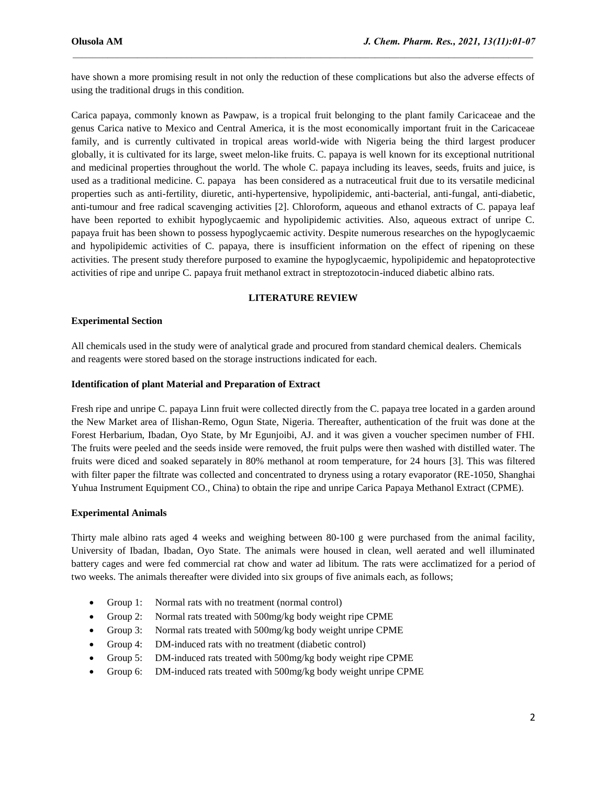have shown a more promising result in not only the reduction of these complications but also the adverse effects of using the traditional drugs in this condition.

 $\mathcal{L}_\mathcal{L} = \mathcal{L}_\mathcal{L}$ 

Carica papaya, commonly known as Pawpaw, is a tropical fruit belonging to the plant family Caricaceae and the genus Carica native to Mexico and Central America, it is the most economically important fruit in the Caricaceae family, and is currently cultivated in tropical areas world-wide with Nigeria being the third largest producer globally, it is cultivated for its large, sweet melon-like fruits. C. papaya is well known for its exceptional nutritional and medicinal properties throughout the world. The whole C. papaya including its leaves, seeds, fruits and juice, is used as a traditional medicine. C. papaya has been considered as a nutraceutical fruit due to its versatile medicinal properties such as anti-fertility, diuretic, anti-hypertensive, hypolipidemic, anti-bacterial, anti-fungal, anti-diabetic, anti-tumour and free radical scavenging activities [2]. Chloroform, aqueous and ethanol extracts of C. papaya leaf have been reported to exhibit hypoglycaemic and hypolipidemic activities. Also, aqueous extract of unripe C. papaya fruit has been shown to possess hypoglycaemic activity. Despite numerous researches on the hypoglycaemic and hypolipidemic activities of C. papaya, there is insufficient information on the effect of ripening on these activities. The present study therefore purposed to examine the hypoglycaemic, hypolipidemic and hepatoprotective activities of ripe and unripe C. papaya fruit methanol extract in streptozotocin-induced diabetic albino rats.

## **LITERATURE REVIEW**

## **Experimental Section**

All chemicals used in the study were of analytical grade and procured from standard chemical dealers. Chemicals and reagents were stored based on the storage instructions indicated for each.

## **Identification of plant Material and Preparation of Extract**

Fresh ripe and unripe C. papaya Linn fruit were collected directly from the C. papaya tree located in a garden around the New Market area of Ilishan-Remo, Ogun State, Nigeria. Thereafter, authentication of the fruit was done at the Forest Herbarium, Ibadan, Oyo State, by Mr Egunjoibi, AJ. and it was given a voucher specimen number of FHI. The fruits were peeled and the seeds inside were removed, the fruit pulps were then washed with distilled water. The fruits were diced and soaked separately in 80% methanol at room temperature, for 24 hours [3]. This was filtered with filter paper the filtrate was collected and concentrated to dryness using a rotary evaporator (RE-1050, Shanghai Yuhua Instrument Equipment CO., China) to obtain the ripe and unripe Carica Papaya Methanol Extract (CPME).

## **Experimental Animals**

Thirty male albino rats aged 4 weeks and weighing between 80-100 g were purchased from the animal facility, University of Ibadan, Ibadan, Oyo State. The animals were housed in clean, well aerated and well illuminated battery cages and were fed commercial rat chow and water ad libitum. The rats were acclimatized for a period of two weeks. The animals thereafter were divided into six groups of five animals each, as follows;

- Group 1: Normal rats with no treatment (normal control)
- Group 2: Normal rats treated with 500mg/kg body weight ripe CPME
- Group 3: Normal rats treated with 500mg/kg body weight unripe CPME
- Group 4: DM-induced rats with no treatment (diabetic control)
- Group 5: DM-induced rats treated with 500mg/kg body weight ripe CPME
- Group 6: DM-induced rats treated with 500mg/kg body weight unripe CPME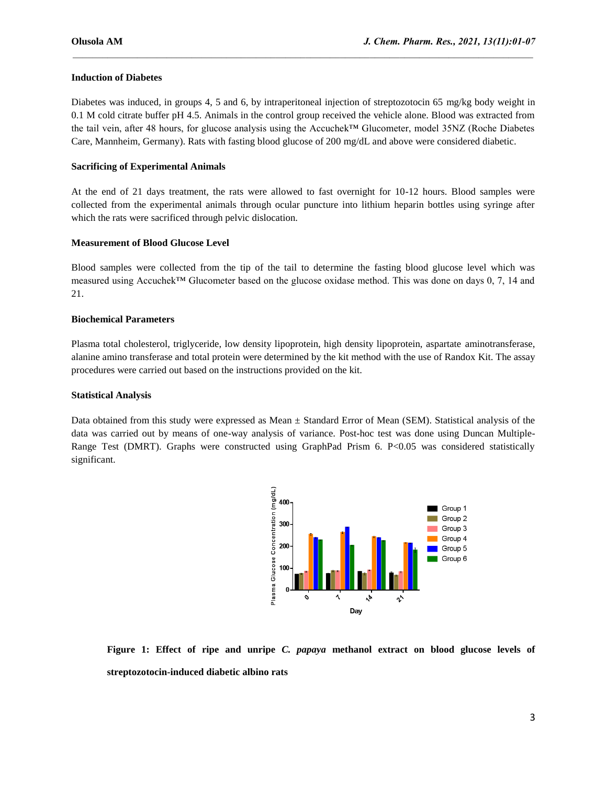#### **Induction of Diabetes**

Diabetes was induced, in groups 4, 5 and 6, by intraperitoneal injection of streptozotocin 65 mg/kg body weight in 0.1 M cold citrate buffer pH 4.5. Animals in the control group received the vehicle alone. Blood was extracted from the tail vein, after 48 hours, for glucose analysis using the Accuchek™ Glucometer, model 35NZ (Roche Diabetes Care, Mannheim, Germany). Rats with fasting blood glucose of 200 mg/dL and above were considered diabetic.

 $\mathcal{L}_\mathcal{L} = \mathcal{L}_\mathcal{L}$ 

#### **Sacrificing of Experimental Animals**

At the end of 21 days treatment, the rats were allowed to fast overnight for 10-12 hours. Blood samples were collected from the experimental animals through ocular puncture into lithium heparin bottles using syringe after which the rats were sacrificed through pelvic dislocation.

#### **Measurement of Blood Glucose Level**

Blood samples were collected from the tip of the tail to determine the fasting blood glucose level which was measured using Accuchek™ Glucometer based on the glucose oxidase method. This was done on days 0, 7, 14 and 21.

#### **Biochemical Parameters**

Plasma total cholesterol, triglyceride, low density lipoprotein, high density lipoprotein, aspartate aminotransferase, alanine amino transferase and total protein were determined by the kit method with the use of Randox Kit. The assay procedures were carried out based on the instructions provided on the kit.

#### **Statistical Analysis**

Data obtained from this study were expressed as Mean ± Standard Error of Mean (SEM). Statistical analysis of the data was carried out by means of one-way analysis of variance. Post-hoc test was done using Duncan Multiple-Range Test (DMRT). Graphs were constructed using GraphPad Prism 6. P<0.05 was considered statistically significant.



**Figure 1: Effect of ripe and unripe** *C. papaya* **methanol extract on blood glucose levels of streptozotocin-induced diabetic albino rats**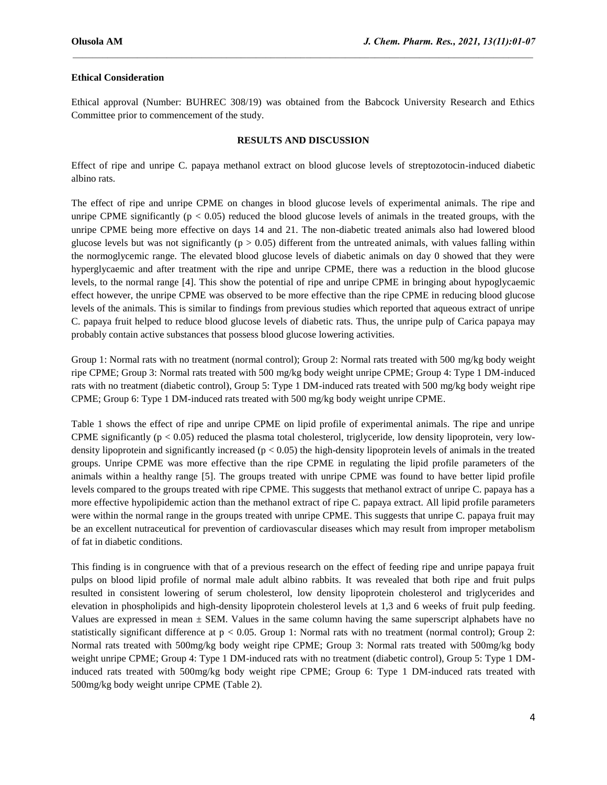#### **Ethical Consideration**

Ethical approval (Number: BUHREC 308/19) was obtained from the Babcock University Research and Ethics Committee prior to commencement of the study.

 $\mathcal{L}_\mathcal{L} = \mathcal{L}_\mathcal{L}$ 

#### **RESULTS AND DISCUSSION**

Effect of ripe and unripe C. papaya methanol extract on blood glucose levels of streptozotocin-induced diabetic albino rats.

The effect of ripe and unripe CPME on changes in blood glucose levels of experimental animals. The ripe and unripe CPME significantly ( $p < 0.05$ ) reduced the blood glucose levels of animals in the treated groups, with the unripe CPME being more effective on days 14 and 21. The non-diabetic treated animals also had lowered blood glucose levels but was not significantly ( $p > 0.05$ ) different from the untreated animals, with values falling within the normoglycemic range. The elevated blood glucose levels of diabetic animals on day 0 showed that they were hyperglycaemic and after treatment with the ripe and unripe CPME, there was a reduction in the blood glucose levels, to the normal range [4]. This show the potential of ripe and unripe CPME in bringing about hypoglycaemic effect however, the unripe CPME was observed to be more effective than the ripe CPME in reducing blood glucose levels of the animals. This is similar to findings from previous studies which reported that aqueous extract of unripe C. papaya fruit helped to reduce blood glucose levels of diabetic rats. Thus, the unripe pulp of Carica papaya may probably contain active substances that possess blood glucose lowering activities.

Group 1: Normal rats with no treatment (normal control); Group 2: Normal rats treated with 500 mg/kg body weight ripe CPME; Group 3: Normal rats treated with 500 mg/kg body weight unripe CPME; Group 4: Type 1 DM-induced rats with no treatment (diabetic control), Group 5: Type 1 DM-induced rats treated with 500 mg/kg body weight ripe CPME; Group 6: Type 1 DM-induced rats treated with 500 mg/kg body weight unripe CPME.

Table 1 shows the effect of ripe and unripe CPME on lipid profile of experimental animals. The ripe and unripe CPME significantly ( $p < 0.05$ ) reduced the plasma total cholesterol, triglyceride, low density lipoprotein, very lowdensity lipoprotein and significantly increased ( $p < 0.05$ ) the high-density lipoprotein levels of animals in the treated groups. Unripe CPME was more effective than the ripe CPME in regulating the lipid profile parameters of the animals within a healthy range [5]. The groups treated with unripe CPME was found to have better lipid profile levels compared to the groups treated with ripe CPME. This suggests that methanol extract of unripe C. papaya has a more effective hypolipidemic action than the methanol extract of ripe C. papaya extract. All lipid profile parameters were within the normal range in the groups treated with unripe CPME. This suggests that unripe C. papaya fruit may be an excellent nutraceutical for prevention of cardiovascular diseases which may result from improper metabolism of fat in diabetic conditions.

This finding is in congruence with that of a previous research on the effect of feeding ripe and unripe papaya fruit pulps on blood lipid profile of normal male adult albino rabbits. It was revealed that both ripe and fruit pulps resulted in consistent lowering of serum cholesterol, low density lipoprotein cholesterol and triglycerides and elevation in phospholipids and high-density lipoprotein cholesterol levels at 1,3 and 6 weeks of fruit pulp feeding. Values are expressed in mean  $\pm$  SEM. Values in the same column having the same superscript alphabets have no statistically significant difference at p < 0.05. Group 1: Normal rats with no treatment (normal control); Group 2: Normal rats treated with 500mg/kg body weight ripe CPME; Group 3: Normal rats treated with 500mg/kg body weight unripe CPME; Group 4: Type 1 DM-induced rats with no treatment (diabetic control), Group 5: Type 1 DMinduced rats treated with 500mg/kg body weight ripe CPME; Group 6: Type 1 DM-induced rats treated with 500mg/kg body weight unripe CPME (Table 2).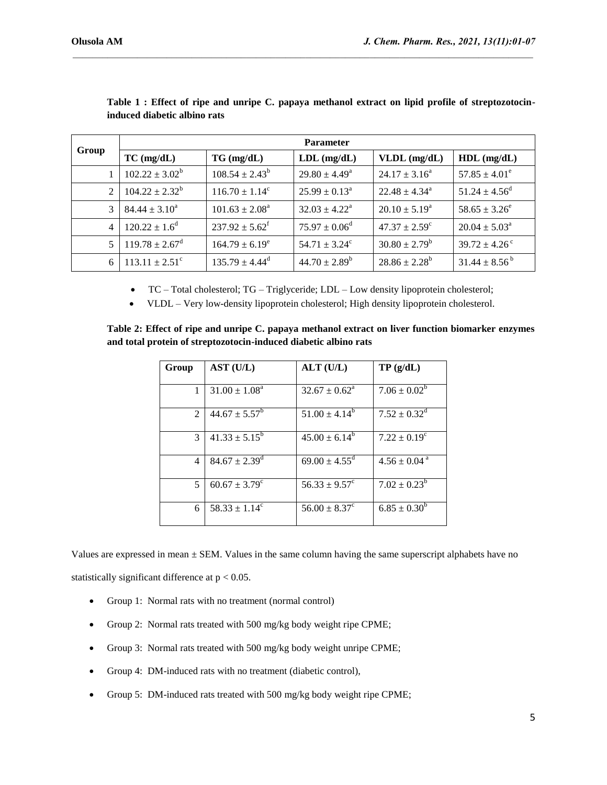| Group | <b>Parameter</b>                  |                                |                             |                          |                               |
|-------|-----------------------------------|--------------------------------|-----------------------------|--------------------------|-------------------------------|
|       | $TC \left( \frac{mg}{dL} \right)$ | $TG \, (mg/dL)$                | $LDL$ (mg/dL)               | $VLDL$ (mg/dL)           | $HDL$ (mg/dL)                 |
|       | $102.22 \pm 3.02^b$               | $108.54 \pm 2.43^b$            | $29.80 \pm 4.49^a$          | $24.17 \pm 3.16^a$       | $57.85 \pm 4.01^e$            |
| 2     | $104.22 \pm 2.32^b$               | $116.70 \pm 1.14^c$            | $25.99 \pm 0.13^{\text{a}}$ | $22.48 \pm 4.34^{\circ}$ | $51.24 \pm 4.56^{\circ}$      |
| 3     | $84.44 \pm 3.10^a$                | $101.63 \pm 2.08^{\text{a}}$   | $32.03 \pm 4.22^{\circ}$    | $20.10 \pm 5.19^{\circ}$ | $58.65 \pm 3.26^e$            |
| 4     | $120.22 \pm 1.6^{\circ}$          | $237.92 \pm 5.62^{\mathrm{f}}$ | $75.97 \pm 0.06^{\circ}$    | $47.37 \pm 2.59^{\circ}$ | $20.04 \pm 5.03^{\circ}$      |
| 5     | $119.78 \pm 2.67$ <sup>d</sup>    | $164.79 \pm 6.19^e$            | $54.71 \pm 3.24^{\circ}$    | $30.80 \pm 2.79^b$       | $39.72 \pm 4.26$ <sup>c</sup> |
| 6     | $113.11 \pm 2.51^{\circ}$         | $135.79 \pm 4.44$ <sup>d</sup> | $44.70 \pm 2.89^b$          | $28.86 \pm 2.28^b$       | $31.44 \pm 8.56^{\mathrm{b}}$ |

 $\mathcal{L}_\mathcal{L} = \mathcal{L}_\mathcal{L}$ 

**Table 1 : Effect of ripe and unripe C. papaya methanol extract on lipid profile of streptozotocininduced diabetic albino rats**

TC – Total cholesterol; TG – Triglyceride; LDL – Low density lipoprotein cholesterol;

VLDL – Very low-density lipoprotein cholesterol; High density lipoprotein cholesterol.

**Table 2: Effect of ripe and unripe C. papaya methanol extract on liver function biomarker enzymes and total protein of streptozotocin-induced diabetic albino rats**

| Group | AST (U/L)                     | $ALT$ (U/L)                   | TP(g/dL)                     |
|-------|-------------------------------|-------------------------------|------------------------------|
| 1     | $31.00 \pm 1.08^{\circ}$      | $32.67 \pm 0.62^{\text{a}}$   | $7.06 \pm 0.02^b$            |
| 2     | $44.67 \pm 5.57^b$            | $51.00 \pm 4.14^b$            | $7.52 \pm 0.32^d$            |
| 3     | $41.33 \pm 5.15^b$            | $45.00 \pm 6.14^b$            | $7.22 \pm 0.19^{\circ}$      |
| 4     | $84.67 \pm 2.39$ <sup>d</sup> | $69.00 \pm 4.55$ <sup>d</sup> | $4.56 \pm 0.04$ <sup>a</sup> |
| 5     | $60.67 \pm 3.79^{\circ}$      | $56.33 \pm 9.57^{\circ}$      | $7.02 \pm 0.23^b$            |
| 6     | $58.33 \pm 1.14^{\circ}$      | $56.00 \pm 8.37^{\circ}$      | $6.85 \pm 0.30^b$            |

Values are expressed in mean  $\pm$  SEM. Values in the same column having the same superscript alphabets have no statistically significant difference at  $p < 0.05$ .

- Group 1: Normal rats with no treatment (normal control)
- Group 2: Normal rats treated with 500 mg/kg body weight ripe CPME;
- Group 3: Normal rats treated with 500 mg/kg body weight unripe CPME;
- Group 4: DM-induced rats with no treatment (diabetic control),
- Group 5: DM-induced rats treated with 500 mg/kg body weight ripe CPME;